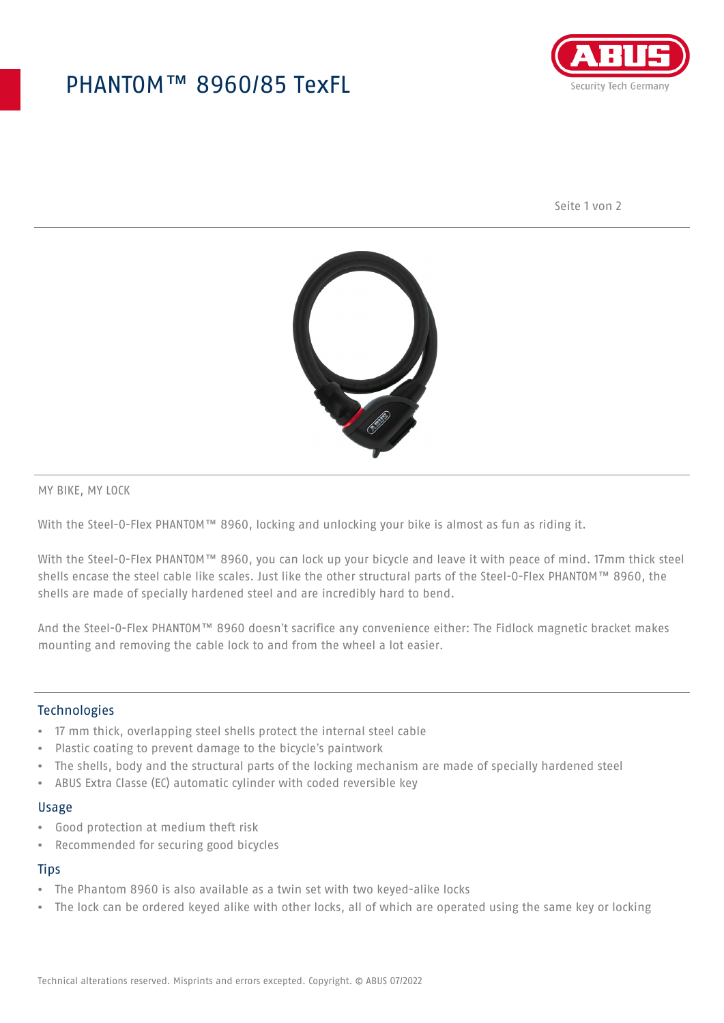## PHANTOM™ 8960/85 TexFL



Seite 1 von 2



MY BIKE, MY LOCK

With the Steel-O-Flex PHANTOM™ 8960, locking and unlocking your bike is almost as fun as riding it.

With the Steel-O-Flex PHANTOM™ 8960, you can lock up your bicycle and leave it with peace of mind. 17mm thick steel shells encase the steel cable like scales. Just like the other structural parts of the Steel-O-Flex PHANTOM™ 8960, the shells are made of specially hardened steel and are incredibly hard to bend.

And the Steel-O-Flex PHANTOM™ 8960 doesn't sacrifice any convenience either: The Fidlock magnetic bracket makes mounting and removing the cable lock to and from the wheel a lot easier.

#### Technologies

- 17 mm thick, overlapping steel shells protect the internal steel cable
- Plastic coating to prevent damage to the bicycle's paintwork
- The shells, body and the structural parts of the locking mechanism are made of specially hardened steel
- ABUS Extra Classe (EC) automatic cylinder with coded reversible key

#### Usage

- Good protection at medium theft risk
- Recommended for securing good bicycles

#### **Tips**

- The Phantom 8960 is also available as a twin set with two keyed-alike locks
- The lock can be ordered keyed alike with other locks, all of which are operated using the same key or locking